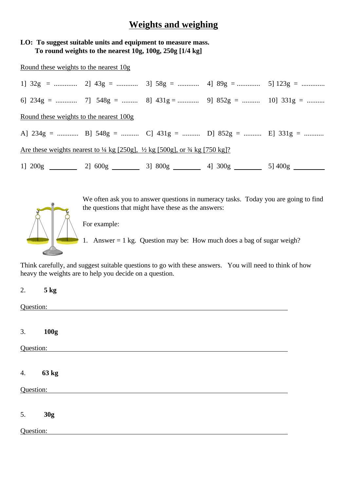## **Weights and weighing**

## **LO: To suggest suitable units and equipment to measure mass. To round weights to the nearest 10g, 100g, 250g [1/4 kg]**

Round these weights to the nearest 10g

| 6] $234g =$ 7] $548g =$ 8] $431g =$ 9] $852g =$ 10] $331g =$                                                 |  |  |  |  |  |  |  |
|--------------------------------------------------------------------------------------------------------------|--|--|--|--|--|--|--|
| Round these weights to the nearest 100g                                                                      |  |  |  |  |  |  |  |
| A] $234g =$ B] $548g =$ C] $431g =$ D] $852g =$ E] $331g =$                                                  |  |  |  |  |  |  |  |
| Are these weights nearest to $\frac{1}{4}$ kg [250g], $\frac{1}{2}$ kg [500g], or $\frac{3}{4}$ kg [750 kg]? |  |  |  |  |  |  |  |
| 1] $200g$ 2] $600g$ 3] $800g$ 4] $300g$ 5 5] $400g$                                                          |  |  |  |  |  |  |  |



We often ask you to answer questions in numeracy tasks. Today you are going to find the questions that might have these as the answers:

For example:

1. Answer = 1 kg. Question may be: How much does a bag of sugar weigh?

Think carefully, and suggest suitable questions to go with these answers. You will need to think of how heavy the weights are to help you decide on a question.

| 2.        | $5$ kg |  |  |  |  |
|-----------|--------|--|--|--|--|
| Question: |        |  |  |  |  |
| 3.        | 100g   |  |  |  |  |
| Question: |        |  |  |  |  |
| 4.        | 63 kg  |  |  |  |  |
| Question: |        |  |  |  |  |
| 5.        | 30g    |  |  |  |  |
| Question: |        |  |  |  |  |